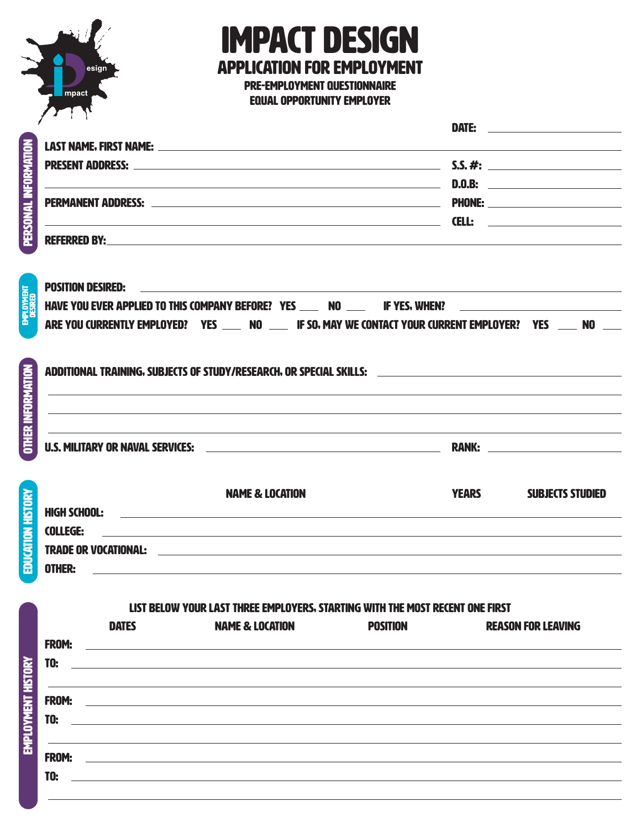

## IMPACT DESIGN APPLICATION FOR EMPLOYMENT

Pre-Employment Questionnaire Equal Opportunity Employer

DATE: the contract of the contract of the contract of the contract of the contract of the contract of the contract of the contract of the contract of the contract of the contract of the contract of the contract of the cont

| í  |
|----|
|    |
|    |
|    |
|    |
|    |
|    |
|    |
|    |
|    |
|    |
|    |
| ŗ, |
|    |
|    |
|    |
|    |
|    |
|    |
|    |
| í  |
|    |
|    |

Employment History

EMPLOYMENT HISTORY

Education history

EDUCATION HISTORY

Other information

OTHER INFORMATION

Employment

| <b>LAST NAME. FIRST NAME:</b> THE STATE OF THE STATE OF THE STATE OF THE STATE OF THE STATE OF THE STATE OF THE STATE OF THE STATE OF THE STATE OF THE STATE OF THE STATE OF THE STATE OF THE STATE OF THE STATE OF THE STATE OF TH |                                                                                                               |  |  |  |
|-------------------------------------------------------------------------------------------------------------------------------------------------------------------------------------------------------------------------------------|---------------------------------------------------------------------------------------------------------------|--|--|--|
|                                                                                                                                                                                                                                     |                                                                                                               |  |  |  |
| <u> 1989 - Andrea Station Barbara, amerikan personal (h. 1989).</u>                                                                                                                                                                 |                                                                                                               |  |  |  |
|                                                                                                                                                                                                                                     |                                                                                                               |  |  |  |
|                                                                                                                                                                                                                                     |                                                                                                               |  |  |  |
|                                                                                                                                                                                                                                     |                                                                                                               |  |  |  |
|                                                                                                                                                                                                                                     |                                                                                                               |  |  |  |
| <b>POSITION DESIRED:</b><br><u> 1989 - Andrea Andrew Maria (h. 1989).</u>                                                                                                                                                           |                                                                                                               |  |  |  |
| HAVE YOU EVER APPLIED TO THIS COMPANY BEFORE? YES ____ NO ___ IF YES, WHEN? ________________________                                                                                                                                |                                                                                                               |  |  |  |
|                                                                                                                                                                                                                                     | ARE YOU CURRENTLY EMPLOYED? YES _____ NO _____ IF SO, MAY WE CONTACT YOUR CURRENT EMPLOYER? YES _____ NO ____ |  |  |  |
|                                                                                                                                                                                                                                     | ADDITIONAL TRAINING, SUBJECTS OF STUDY/RESEARCH, OR SPECIAL SKILLS: ________________________________          |  |  |  |
|                                                                                                                                                                                                                                     | ,我们也不会有什么。""我们的人,我们也不会有什么?""我们的人,我们也不会有什么?""我们的人,我们也不会有什么?""我们的人,我们也不会有什么?""我们的人<br><b>RANK: Example 2008</b> |  |  |  |
|                                                                                                                                                                                                                                     |                                                                                                               |  |  |  |
| <b>NAME &amp; LOCATION</b>                                                                                                                                                                                                          | <b>YEARS</b><br><b>SUBJECTS STUDIED</b>                                                                       |  |  |  |
| <b>HIGH SCHOOL:</b><br><b>COLLEGE:</b>                                                                                                                                                                                              |                                                                                                               |  |  |  |

Trade or Vocational: Other:

List below your last Three employers, starting with the most recent one first

|              | <b>DATES</b> | <b>NAME &amp; LOCATION</b>                                                                                           | <b>POSITION</b> | <b>REASON FOR LEAVING</b> |
|--------------|--------------|----------------------------------------------------------------------------------------------------------------------|-----------------|---------------------------|
| <b>FROM:</b> |              | <u> 1980 - Andrea Andrew Maria (h. 1980).</u>                                                                        |                 |                           |
| <b>TO:</b>   |              |                                                                                                                      |                 |                           |
|              |              |                                                                                                                      |                 |                           |
| <b>FROM:</b> |              | <u> 1989 - Johann John Stone, meilich aus der Stone (1989)</u>                                                       |                 |                           |
| <b>TO:</b>   |              |                                                                                                                      |                 |                           |
|              |              |                                                                                                                      |                 |                           |
| <b>FROM:</b> |              | <u> 1980 - John Stein, mars and de Britain and de Britain and de Britain and de Britain and de Britain and de Br</u> |                 |                           |
| <b>TO:</b>   |              |                                                                                                                      |                 |                           |
|              |              |                                                                                                                      |                 |                           |